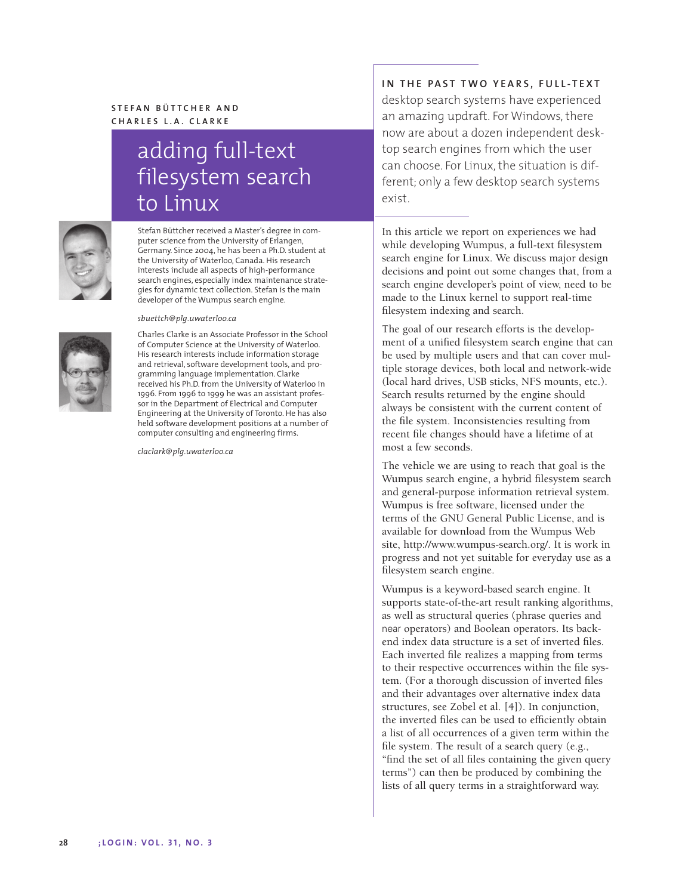# **S TEFAN BÜTTCHER AND CHARLES L.A. CLARKE**

# adding full-text filesystem search to Linux



Stefan Büttcher received a Master's degree in computer science from the University of Erlangen, Germany. Since 2004, he has been a Ph.D. student at the University of Waterloo, Canada. His research interests include all aspects of high-performance search engines, especially index maintenance strategies for dynamic text collection. Stefan is the main developer of the Wumpus search engine.

#### *sbuettch@plg.uwaterloo.ca*



Charles Clarke is an Associate Professor in the School of Computer Science at the University of Waterloo. His research interests include information storage and retrieval, software development tools, and programming language implementation. Clarke received his Ph.D. from the University of Waterloo in 1996. From 1996 to 1999 he was an assistant professor in the Department of Electrical and Computer Engineering at the University of Toronto. He has also held software development positions at a number of computer consulting and engineering firms.

*claclark@plg.uwaterloo.ca*

**IN THE PAST TWO YEARS, FULL-TEXT** desktop search systems have experienced an amazing updraft. For Windows, there now are about a dozen independent desktop search engines from which the user can choose. For Linux, the situation is different; only a few desktop search systems exist.

In this article we report on experiences we had while developing Wumpus, a full-text filesystem search engine for Linux. We discuss major design decisions and point out some changes that, from a search engine developer's point of view, need to be made to the Linux kernel to support real-time filesystem indexing and search.

The goal of our research efforts is the development of a unified filesystem search engine that can be used by multiple users and that can cover multiple storage devices, both local and network-wide (local hard drives, USB sticks, NFS mounts, etc.). Search results returned by the engine should always be consistent with the current content of the file system. Inconsistencies resulting from recent file changes should have a lifetime of at most a few seconds.

The vehicle we are using to reach that goal is the Wumpus search engine, a hybrid filesystem search and general-purpose information retrieval system. Wumpus is free software, licensed under the terms of the GNU General Public License, and is available for download from the Wumpus Web site, http://www.wumpus-search.org/. It is work in progress and not yet suitable for everyday use as a filesystem search engine.

Wumpus is a keyword-based search engine. It supports state-of-the-art result ranking algorithms, as well as structural queries (phrase queries and near operators) and Boolean operators. Its backend index data structure is a set of inverted files. Each inverted file realizes a mapping from terms to their respective occurrences within the file system. (For a thorough discussion of inverted files and their advantages over alternative index data structures, see Zobel et al. [4]). In conjunction, the inverted files can be used to efficiently obtain a list of all occurrences of a given term within the file system. The result of a search query (e.g., "find the set of all files containing the given query terms") can then be produced by combining the lists of all query terms in a straightforward way.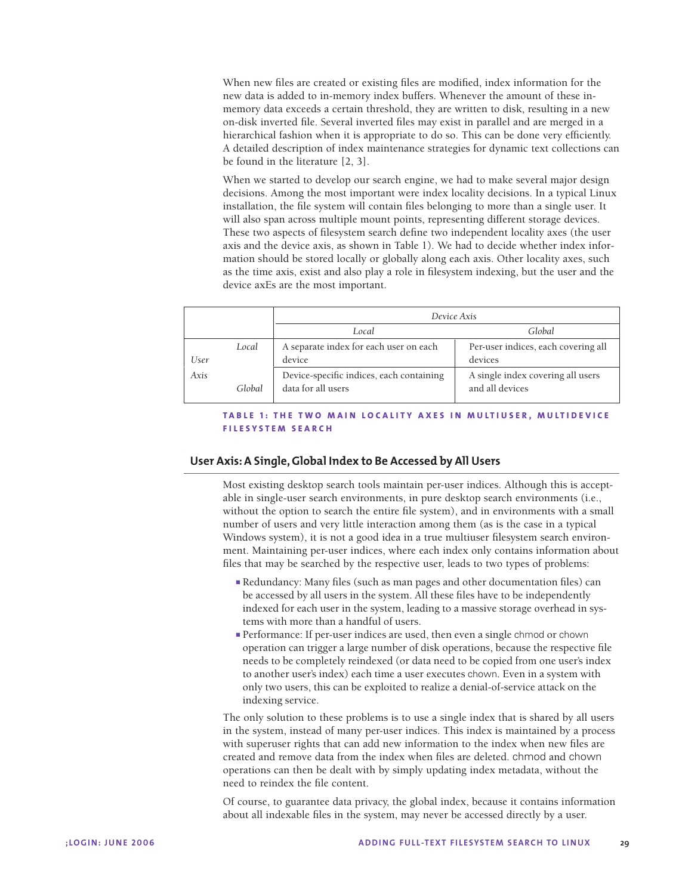When new files are created or existing files are modified, index information for the new data is added to in-memory index buffers. Whenever the amount of these inmemory data exceeds a certain threshold, they are written to disk, resulting in a new on-disk inverted file. Several inverted files may exist in parallel and are merged in a hierarchical fashion when it is appropriate to do so. This can be done very efficiently. A detailed description of index maintenance strategies for dynamic text collections can be found in the literature [2, 3].

When we started to develop our search engine, we had to make several major design decisions. Among the most important were index locality decisions. In a typical Linux installation, the file system will contain files belonging to more than a single user. It will also span across multiple mount points, representing different storage devices. These two aspects of filesystem search define two independent locality axes (the user axis and the device axis, as shown in Table 1). We had to decide whether index information should be stored locally or globally along each axis. Other locality axes, such as the time axis, exist and also play a role in filesystem indexing, but the user and the device axEs are the most important.

|      |        | Device Axis                                                    |                                                      |
|------|--------|----------------------------------------------------------------|------------------------------------------------------|
|      |        | Local                                                          | Global                                               |
|      | Local  | A separate index for each user on each                         | Per-user indices, each covering all                  |
| User |        | device                                                         | devices                                              |
| Axis | Global | Device-specific indices, each containing<br>data for all users | A single index covering all users<br>and all devices |

## **T A B LE 1 : THE TWO MAIN LOCALITY AXES IN MULTIUSER, MULTIDEVICE FILESYSTEM SEARCH**

## **User Axis: A Single, Global Index to Be Accessed by All Users**

Most existing desktop search tools maintain per-user indices. Although this is acceptable in single-user search environments, in pure desktop search environments (i.e., without the option to search the entire file system), and in environments with a small number of users and very little interaction among them (as is the case in a typical Windows system), it is not a good idea in a true multiuser filesystem search environment. Maintaining per-user indices, where each index only contains information about files that may be searched by the respective user, leads to two types of problems:

- Redundancy: Many files (such as man pages and other documentation files) can be accessed by all users in the system. All these files have to be independently indexed for each user in the system, leading to a massive storage overhead in systems with more than a handful of users.
- Performance: If per-user indices are used, then even a single chmod or chown operation can trigger a large number of disk operations, because the respective file needs to be completely reindexed (or data need to be copied from one user's index to another user's index) each time a user executes chown. Even in a system with only two users, this can be exploited to realize a denial-of-service attack on the indexing service.

The only solution to these problems is to use a single index that is shared by all users in the system, instead of many per-user indices. This index is maintained by a process with superuser rights that can add new information to the index when new files are created and remove data from the index when files are deleted. chmod and chown operations can then be dealt with by simply updating index metadata, without the need to reindex the file content.

Of course, to guarantee data privacy, the global index, because it contains information about all indexable files in the system, may never be accessed directly by a user.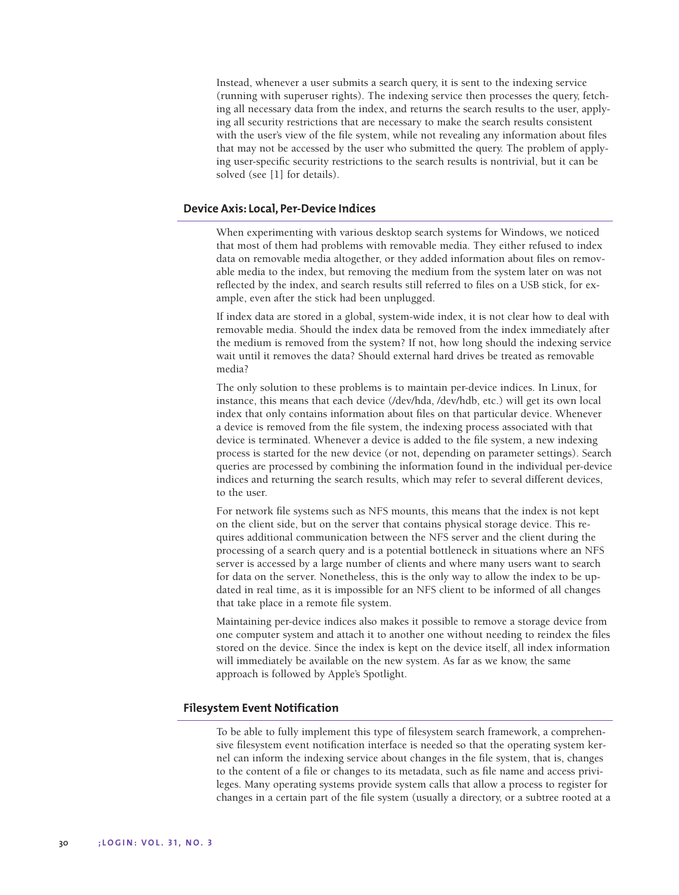Instead, whenever a user submits a search query, it is sent to the indexing service (running with superuser rights). The indexing service then processes the query, fetching all necessary data from the index, and returns the search results to the user, applying all security restrictions that are necessary to make the search results consistent with the user's view of the file system, while not revealing any information about files that may not be accessed by the user who submitted the query. The problem of applying user-specific security restrictions to the search results is nontrivial, but it can be solved (see [1] for details).

# **Device Axis: Local, Per-Device Indices**

When experimenting with various desktop search systems for Windows, we noticed that most of them had problems with removable media. They either refused to index data on removable media altogether, or they added information about files on removable media to the index, but removing the medium from the system later on was not reflected by the index, and search results still referred to files on a USB stick, for example, even after the stick had been unplugged.

If index data are stored in a global, system-wide index, it is not clear how to deal with removable media. Should the index data be removed from the index immediately after the medium is removed from the system? If not, how long should the indexing service wait until it removes the data? Should external hard drives be treated as removable media?

The only solution to these problems is to maintain per-device indices. In Linux, for instance, this means that each device (/dev/hda, /dev/hdb, etc.) will get its own local index that only contains information about files on that particular device. Whenever a device is removed from the file system, the indexing process associated with that device is terminated. Whenever a device is added to the file system, a new indexing process is started for the new device (or not, depending on parameter settings). Search queries are processed by combining the information found in the individual per-device indices and returning the search results, which may refer to several different devices, to the user.

For network file systems such as NFS mounts, this means that the index is not kept on the client side, but on the server that contains physical storage device. This requires additional communication between the NFS server and the client during the processing of a search query and is a potential bottleneck in situations where an NFS server is accessed by a large number of clients and where many users want to search for data on the server. Nonetheless, this is the only way to allow the index to be updated in real time, as it is impossible for an NFS client to be informed of all changes that take place in a remote file system.

Maintaining per-device indices also makes it possible to remove a storage device from one computer system and attach it to another one without needing to reindex the files stored on the device. Since the index is kept on the device itself, all index information will immediately be available on the new system. As far as we know, the same approach is followed by Apple's Spotlight.

## **Filesystem Event Notification**

To be able to fully implement this type of filesystem search framework, a comprehensive filesystem event notification interface is needed so that the operating system kernel can inform the indexing service about changes in the file system, that is, changes to the content of a file or changes to its metadata, such as file name and access privileges. Many operating systems provide system calls that allow a process to register for changes in a certain part of the file system (usually a directory, or a subtree rooted at a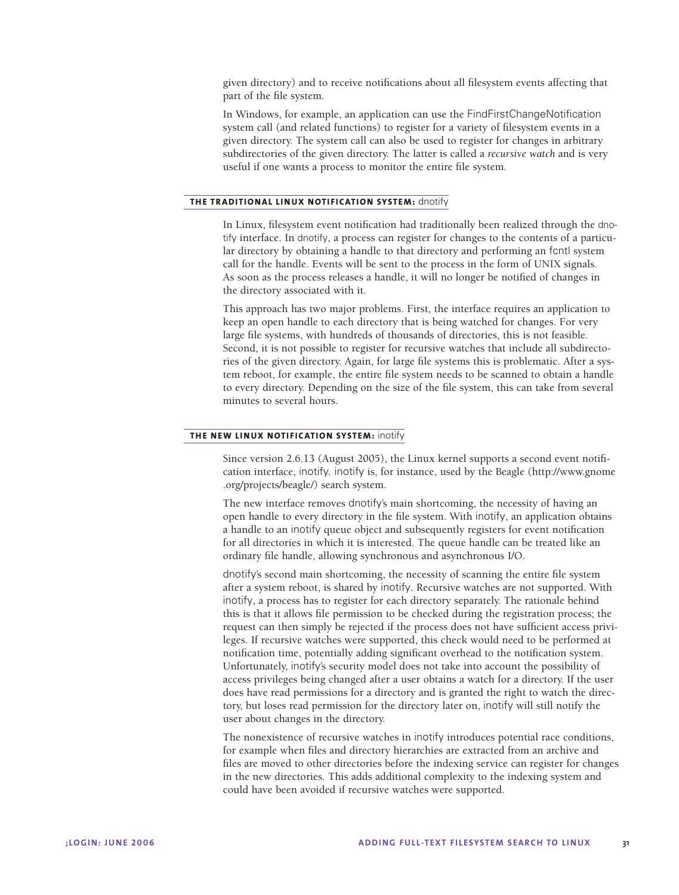given directory) and to receive notifications about all filesystem events affecting that part of the file system.

In Windows, for example, an application can use the FindFirstChangeNotification system call (and related functions) to register for a variety of filesystem events in a given directory. The system call can also be used to register for changes in arbitrary subdirectories of the given directory. The latter is called a *recursive watch* and is very useful if one wants a process to monitor the entire file system.

#### **THE TRADITIONAL LINUX NOTIFICATION SYSTEM:** dnotify

In Linux, filesystem event notification had traditionally been realized through the dnotify interface. In dnotify, a process can register for changes to the contents of a particular directory by obtaining a handle to that directory and performing an fcntl system call for the handle. Events will be sent to the process in the form of UNIX signals. As soon as the process releases a handle, it will no longer be notified of changes in the directory associated with it.

This approach has two major problems. First, the interface requires an application to keep an open handle to each directory that is being watched for changes. For very large file systems, with hundreds of thousands of directories, this is not feasible. Second, it is not possible to register for recursive watches that include all subdirectories of the given directory. Again, for large file systems this is problematic. After a system reboot, for example, the entire file system needs to be scanned to obtain a handle to every directory. Depending on the size of the file system, this can take from several minutes to several hours.

## **THE NEW LINUX NOTIFICATION SYSTEM:** inotify

Since version 2.6.13 (August 2005), the Linux kernel supports a second event notification interface, inotify. inotify is, for instance, used by the Beagle (http://www.gnome .org/projects/beagle/) search system.

The new interface removes dnotify's main shortcoming, the necessity of having an open handle to every directory in the file system. With inotify, an application obtains a handle to an inotify queue object and subsequently registers for event notification for all directories in which it is interested. The queue handle can be treated like an ordinary file handle, allowing synchronous and asynchronous I/O.

dnotify's second main shortcoming, the necessity of scanning the entire file system after a system reboot, is shared by inotify. Recursive watches are not supported. With inotify, a process has to register for each directory separately. The rationale behind this is that it allows file permission to be checked during the registration process; the request can then simply be rejected if the process does not have sufficient access privileges. If recursive watches were supported, this check would need to be performed at notification time, potentially adding significant overhead to the notification system. Unfortunately, inotify's security model does not take into account the possibility of access privileges being changed after a user obtains a watch for a directory. If the user does have read permissions for a directory and is granted the right to watch the directory, but loses read permission for the directory later on, inotify will still notify the user about changes in the directory.

The nonexistence of recursive watches in inotify introduces potential race conditions, for example when files and directory hierarchies are extracted from an archive and files are moved to other directories before the indexing service can register for changes in the new directories. This adds additional complexity to the indexing system and could have been avoided if recursive watches were supported.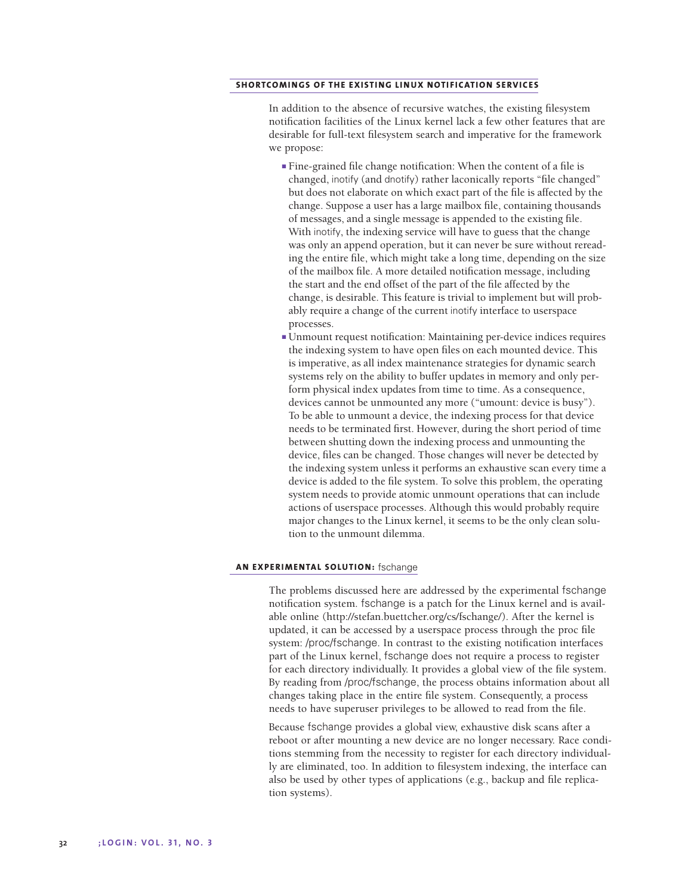# **SHORTCOMINGS OF THE EXISTING LINUX NOTIFICATION SERVICES**

In addition to the absence of recursive watches, the existing filesystem notification facilities of the Linux kernel lack a few other features that are desirable for full-text filesystem search and imperative for the framework we propose:

- Fine-grained file change notification: When the content of a file is changed, inotify (and dnotify) rather laconically reports "file changed" but does not elaborate on which exact part of the file is affected by the change. Suppose a user has a large mailbox file, containing thousands of messages, and a single message is appended to the existing file. With inotify, the indexing service will have to guess that the change was only an append operation, but it can never be sure without rereading the entire file, which might take a long time, depending on the size of the mailbox file. A more detailed notification message, including the start and the end offset of the part of the file affected by the change, is desirable. This feature is trivial to implement but will probably require a change of the current inotify interface to userspace processes.
- Unmount request notification: Maintaining per-device indices requires the indexing system to have open files on each mounted device. This is imperative, as all index maintenance strategies for dynamic search systems rely on the ability to buffer updates in memory and only perform physical index updates from time to time. As a consequence, devices cannot be unmounted any more ("umount: device is busy"). To be able to unmount a device, the indexing process for that device needs to be terminated first. However, during the short period of time between shutting down the indexing process and unmounting the device, files can be changed. Those changes will never be detected by the indexing system unless it performs an exhaustive scan every time a device is added to the file system. To solve this problem, the operating system needs to provide atomic unmount operations that can include actions of userspace processes. Although this would probably require major changes to the Linux kernel, it seems to be the only clean solution to the unmount dilemma.

### **AN EXPERIMENTAL SOLUTION:** fschange

The problems discussed here are addressed by the experimental fschange notification system. fschange is a patch for the Linux kernel and is available online (http://stefan.buettcher.org/cs/fschange/). After the kernel is updated, it can be accessed by a userspace process through the proc file system: /proc/fschange. In contrast to the existing notification interfaces part of the Linux kernel, fschange does not require a process to register for each directory individually. It provides a global view of the file system. By reading from /proc/fschange, the process obtains information about all changes taking place in the entire file system. Consequently, a process needs to have superuser privileges to be allowed to read from the file.

Because fschange provides a global view, exhaustive disk scans after a reboot or after mounting a new device are no longer necessary. Race conditions stemming from the necessity to register for each directory individually are eliminated, too. In addition to filesystem indexing, the interface can also be used by other types of applications (e.g., backup and file replication systems).